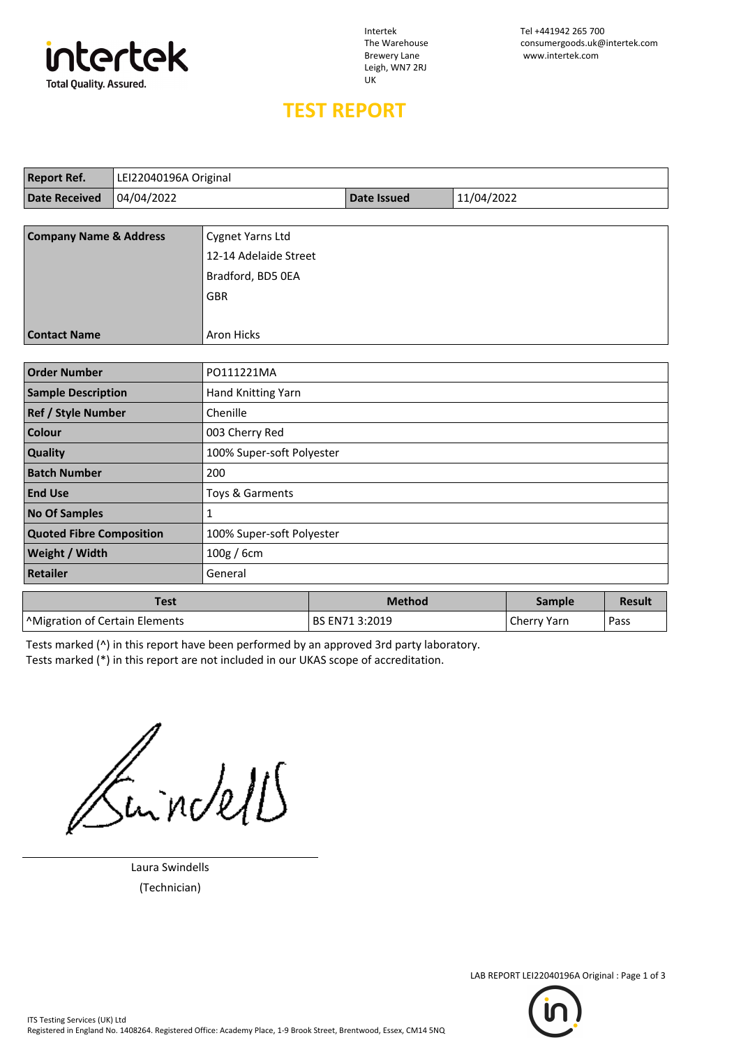

Leigh, WN7 2RJ UK

## **TEST REPORT**

| <b>Report Ref.</b>                                           | LEI22040196A Original |                           |                    |            |               |               |  |  |
|--------------------------------------------------------------|-----------------------|---------------------------|--------------------|------------|---------------|---------------|--|--|
| <b>Date Received</b>                                         | 04/04/2022            |                           | <b>Date Issued</b> | 11/04/2022 |               |               |  |  |
|                                                              |                       |                           |                    |            |               |               |  |  |
| <b>Company Name &amp; Address</b>                            |                       | Cygnet Yarns Ltd          |                    |            |               |               |  |  |
|                                                              |                       | 12-14 Adelaide Street     |                    |            |               |               |  |  |
|                                                              |                       | Bradford, BD5 OEA         |                    |            |               |               |  |  |
|                                                              |                       | GBR                       |                    |            |               |               |  |  |
|                                                              |                       |                           |                    |            |               |               |  |  |
| <b>Contact Name</b>                                          |                       | <b>Aron Hicks</b>         |                    |            |               |               |  |  |
|                                                              |                       |                           |                    |            |               |               |  |  |
| <b>Order Number</b>                                          |                       | PO111221MA                |                    |            |               |               |  |  |
| <b>Sample Description</b>                                    |                       | Hand Knitting Yarn        |                    |            |               |               |  |  |
| Ref / Style Number                                           |                       | Chenille                  |                    |            |               |               |  |  |
| <b>Colour</b>                                                |                       | 003 Cherry Red            |                    |            |               |               |  |  |
| Quality                                                      |                       | 100% Super-soft Polyester |                    |            |               |               |  |  |
| <b>Batch Number</b>                                          |                       | 200                       |                    |            |               |               |  |  |
| <b>End Use</b>                                               |                       | Toys & Garments           |                    |            |               |               |  |  |
| <b>No Of Samples</b>                                         |                       | $\mathbf{1}$              |                    |            |               |               |  |  |
| <b>Quoted Fibre Composition</b><br>100% Super-soft Polyester |                       |                           |                    |            |               |               |  |  |
| Weight / Width                                               |                       | 100g / 6cm                |                    |            |               |               |  |  |
| <b>Retailer</b>                                              |                       | General                   |                    |            |               |               |  |  |
|                                                              | <b>Test</b>           |                           | <b>Method</b>      |            | <b>Sample</b> | <b>Result</b> |  |  |
| <sup>^</sup> Migration of Certain Elements                   |                       |                           | BS EN71 3:2019     |            | Cherry Yarn   | Pass          |  |  |

Tests marked (^) in this report have been performed by an approved 3rd party laboratory.

Tests marked (\*) in this report are not included in our UKAS scope of accreditation.

Suindell

Laura Swindells (Technician)



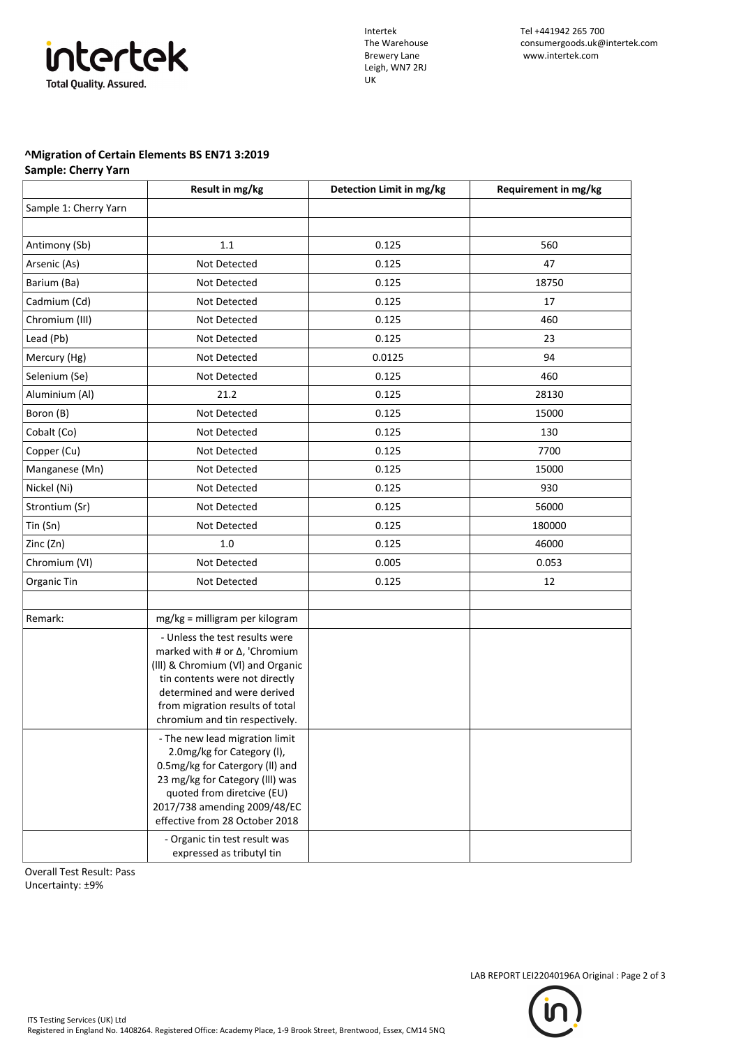## intertek **Total Quality. Assured.**

Leigh, WN7 2RJ UK

## **^Migration of Certain Elements BS EN71 3:2019**

**Sample: Cherry Yarn**

|                       | Result in mg/kg                                                                                                                                                                                                                                                     | Detection Limit in mg/kg | Requirement in mg/kg |
|-----------------------|---------------------------------------------------------------------------------------------------------------------------------------------------------------------------------------------------------------------------------------------------------------------|--------------------------|----------------------|
| Sample 1: Cherry Yarn |                                                                                                                                                                                                                                                                     |                          |                      |
|                       |                                                                                                                                                                                                                                                                     |                          |                      |
| Antimony (Sb)         | 1.1                                                                                                                                                                                                                                                                 | 0.125                    | 560                  |
| Arsenic (As)          | Not Detected                                                                                                                                                                                                                                                        | 0.125                    | 47                   |
| Barium (Ba)           | Not Detected                                                                                                                                                                                                                                                        | 0.125                    | 18750                |
| Cadmium (Cd)          | Not Detected                                                                                                                                                                                                                                                        | 0.125                    | 17                   |
| Chromium (III)        | Not Detected                                                                                                                                                                                                                                                        | 0.125                    | 460                  |
| Lead (Pb)             | Not Detected                                                                                                                                                                                                                                                        | 0.125                    | 23                   |
| Mercury (Hg)          | Not Detected                                                                                                                                                                                                                                                        | 0.0125                   | 94                   |
| Selenium (Se)         | Not Detected                                                                                                                                                                                                                                                        | 0.125                    | 460                  |
| Aluminium (Al)        | 21.2                                                                                                                                                                                                                                                                | 0.125                    | 28130                |
| Boron (B)             | Not Detected                                                                                                                                                                                                                                                        | 0.125                    | 15000                |
| Cobalt (Co)           | Not Detected                                                                                                                                                                                                                                                        | 0.125                    | 130                  |
| Copper (Cu)           | Not Detected                                                                                                                                                                                                                                                        | 0.125                    | 7700                 |
| Manganese (Mn)        | Not Detected                                                                                                                                                                                                                                                        | 0.125                    | 15000                |
| Nickel (Ni)           | Not Detected                                                                                                                                                                                                                                                        | 0.125                    | 930                  |
| Strontium (Sr)        | Not Detected                                                                                                                                                                                                                                                        | 0.125                    | 56000                |
| Tin (Sn)              | Not Detected                                                                                                                                                                                                                                                        | 0.125                    | 180000               |
| Zinc (Zn)             | 1.0                                                                                                                                                                                                                                                                 | 0.125                    | 46000                |
| Chromium (VI)         | Not Detected                                                                                                                                                                                                                                                        | 0.005                    | 0.053                |
| Organic Tin           | Not Detected                                                                                                                                                                                                                                                        | 0.125                    | 12                   |
|                       |                                                                                                                                                                                                                                                                     |                          |                      |
| Remark:               | mg/kg = milligram per kilogram                                                                                                                                                                                                                                      |                          |                      |
|                       | - Unless the test results were<br>marked with # or $\Delta$ , 'Chromium<br>(III) & Chromium (VI) and Organic<br>tin contents were not directly<br>determined and were derived<br>from migration results of total<br>chromium and tin respectively.                  |                          |                      |
|                       | - The new lead migration limit<br>2.0mg/kg for Category (I),<br>0.5mg/kg for Catergory (II) and<br>23 mg/kg for Category (III) was<br>quoted from diretcive (EU)<br>2017/738 amending 2009/48/EC<br>effective from 28 October 2018<br>- Organic tin test result was |                          |                      |
|                       | expressed as tributyl tin                                                                                                                                                                                                                                           |                          |                      |

Overall Test Result: Pass

Uncertainty: ±9%